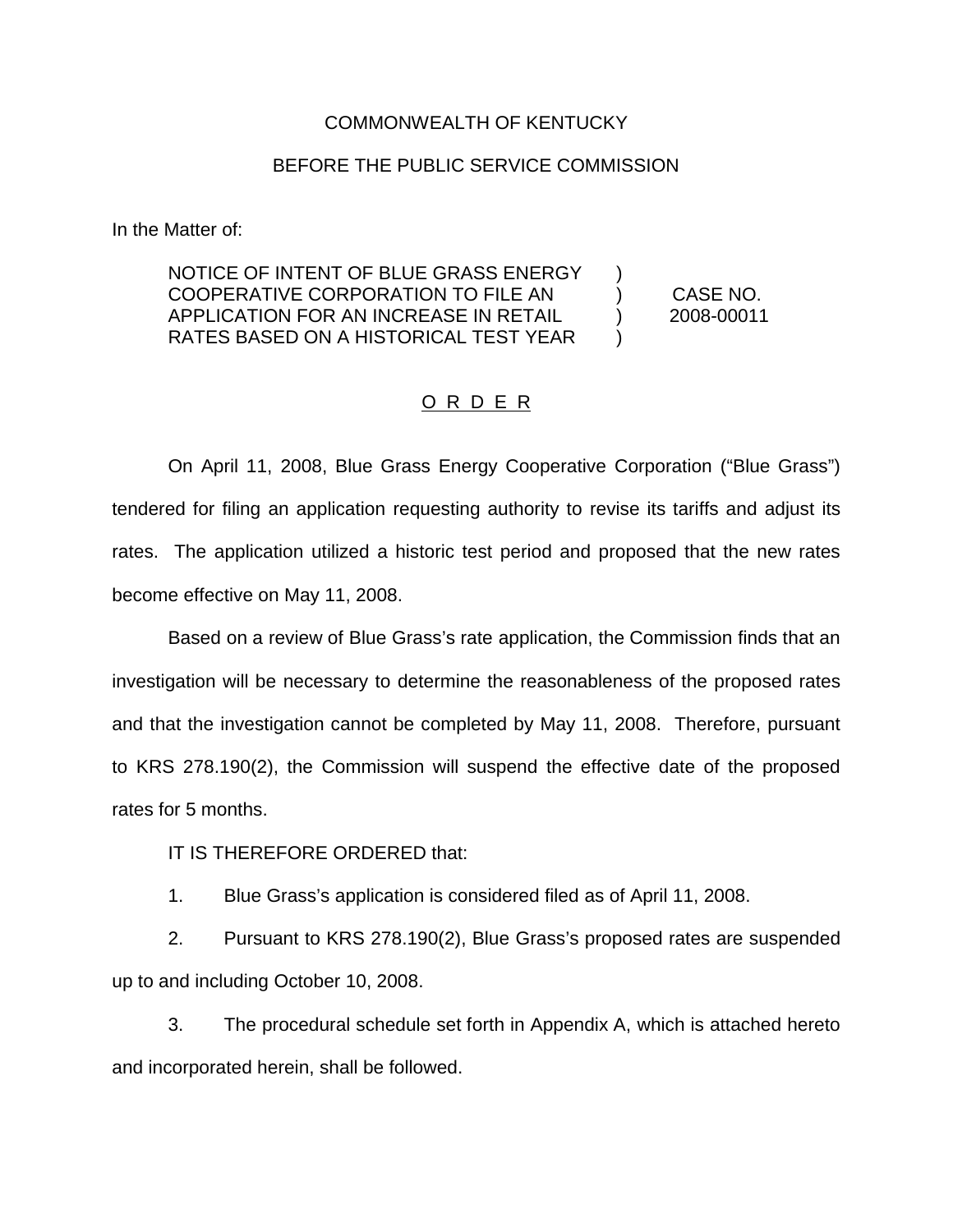### COMMONWEALTH OF KENTUCKY

### BEFORE THE PUBLIC SERVICE COMMISSION

In the Matter of:

NOTICE OF INTENT OF BLUE GRASS ENERGY COOPERATIVE CORPORATION TO FILE AN ) CASE NO. APPLICATION FOR AN INCREASE IN RETAIL ) 2008-00011 RATES BASED ON A HISTORICAL TEST YEAR )

### O R D E R

On April 11, 2008, Blue Grass Energy Cooperative Corporation ("Blue Grass") tendered for filing an application requesting authority to revise its tariffs and adjust its rates. The application utilized a historic test period and proposed that the new rates become effective on May 11, 2008.

Based on a review of Blue Grass's rate application, the Commission finds that an investigation will be necessary to determine the reasonableness of the proposed rates and that the investigation cannot be completed by May 11, 2008. Therefore, pursuant to KRS 278.190(2), the Commission will suspend the effective date of the proposed rates for 5 months.

IT IS THEREFORE ORDERED that:

1. Blue Grass's application is considered filed as of April 11, 2008.

2. Pursuant to KRS 278.190(2), Blue Grass's proposed rates are suspended up to and including October 10, 2008.

3. The procedural schedule set forth in Appendix A, which is attached hereto and incorporated herein, shall be followed.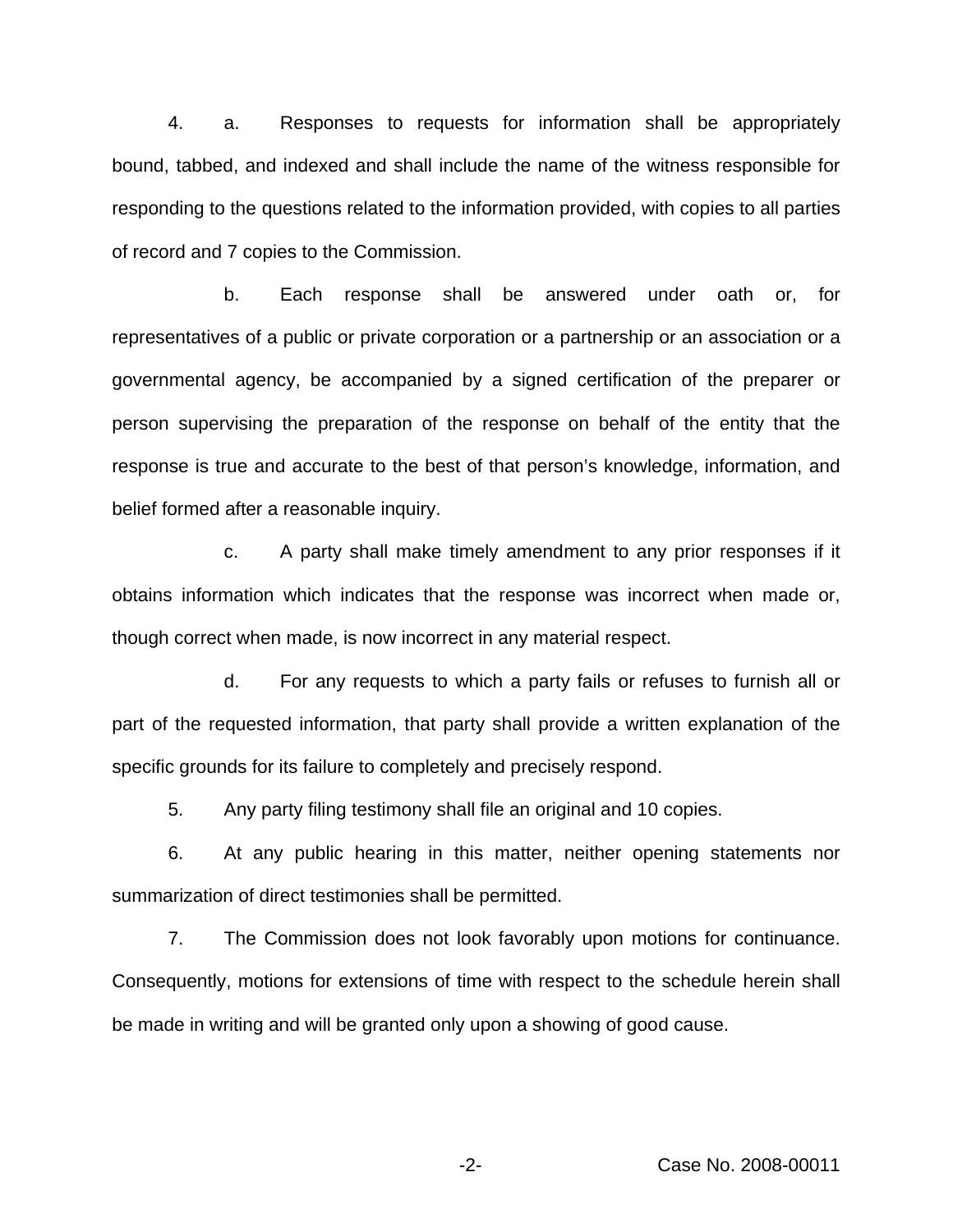4. a. Responses to requests for information shall be appropriately bound, tabbed, and indexed and shall include the name of the witness responsible for responding to the questions related to the information provided, with copies to all parties of record and 7 copies to the Commission.

b. Each response shall be answered under oath or, for representatives of a public or private corporation or a partnership or an association or a governmental agency, be accompanied by a signed certification of the preparer or person supervising the preparation of the response on behalf of the entity that the response is true and accurate to the best of that person's knowledge, information, and belief formed after a reasonable inquiry.

c. A party shall make timely amendment to any prior responses if it obtains information which indicates that the response was incorrect when made or, though correct when made, is now incorrect in any material respect.

d. For any requests to which a party fails or refuses to furnish all or part of the requested information, that party shall provide a written explanation of the specific grounds for its failure to completely and precisely respond.

5. Any party filing testimony shall file an original and 10 copies.

6. At any public hearing in this matter, neither opening statements nor summarization of direct testimonies shall be permitted.

7. The Commission does not look favorably upon motions for continuance. Consequently, motions for extensions of time with respect to the schedule herein shall be made in writing and will be granted only upon a showing of good cause.

-2- Case No. 2008-00011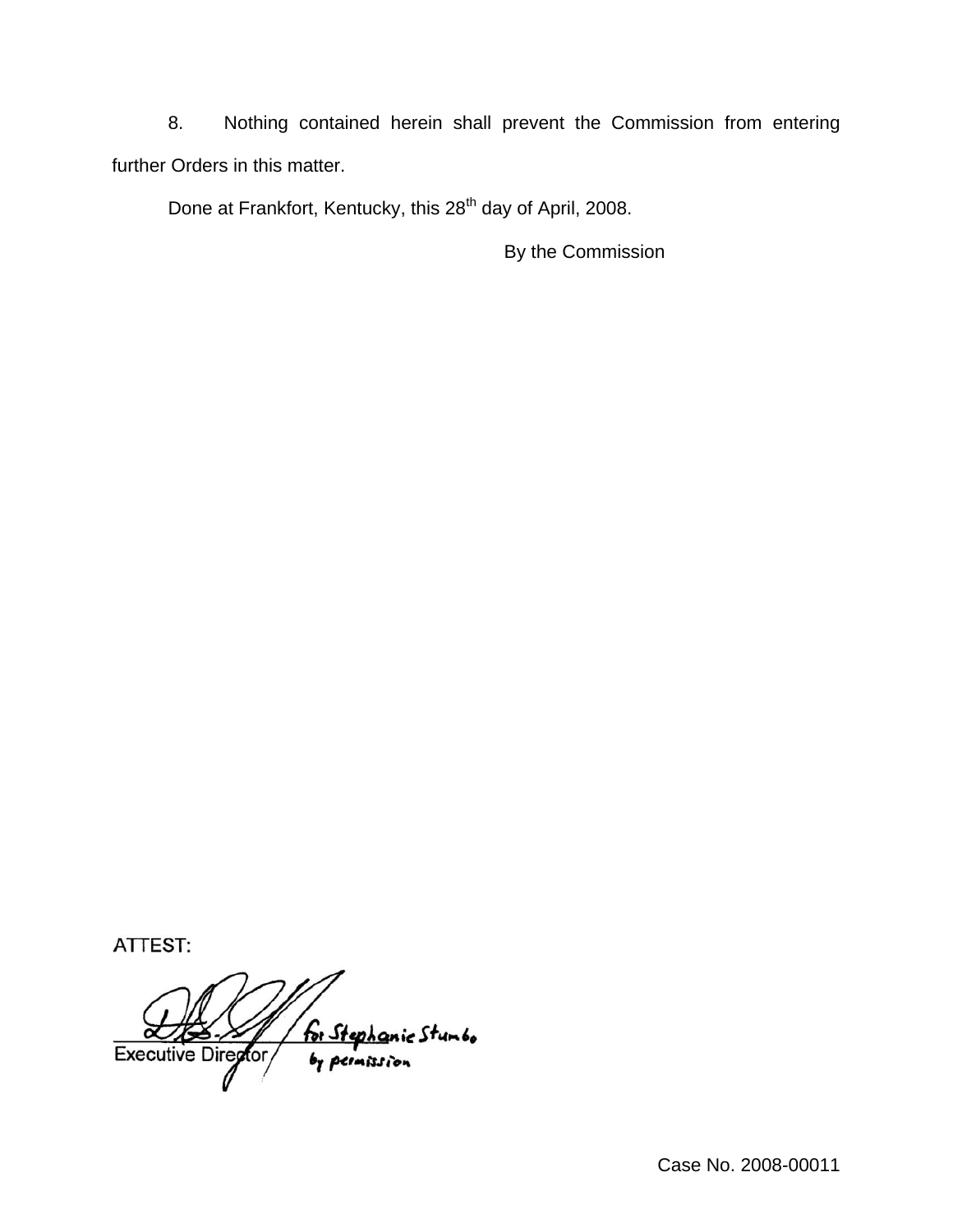8. Nothing contained herein shall prevent the Commission from entering further Orders in this matter.

Done at Frankfort, Kentucky, this 28<sup>th</sup> day of April, 2008.

By the Commission

ATTEST:

for Stephanic Stumbo<br>by permission Executive Director